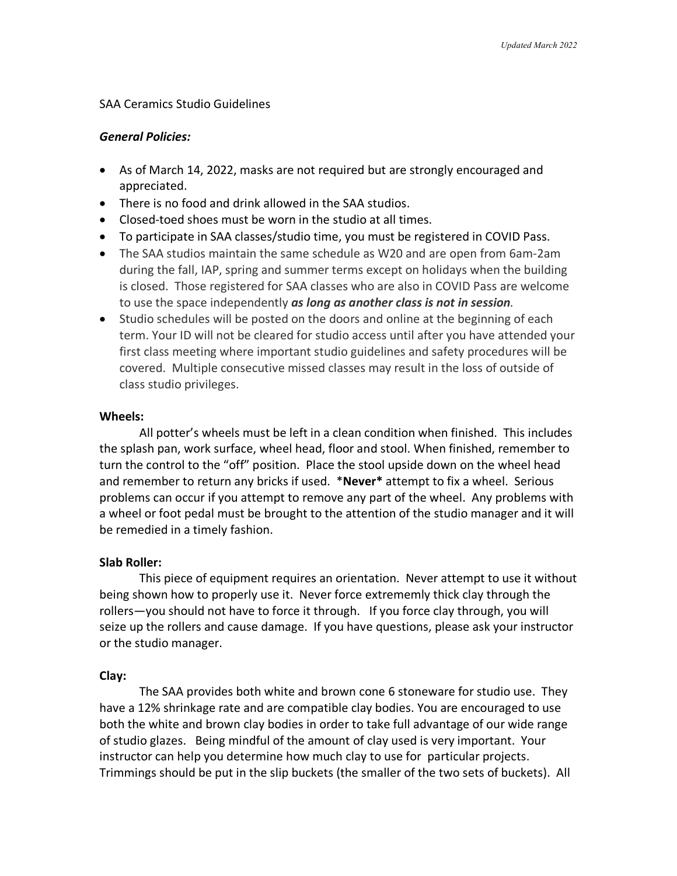# SAA Ceramics Studio Guidelines

# *General Policies:*

- As of March 14, 2022, masks are not required but are strongly encouraged and appreciated.
- There is no food and drink allowed in the SAA studios.
- Closed-toed shoes must be worn in the studio at all times.
- To participate in SAA classes/studio time, you must be registered in COVID Pass.
- The SAA studios maintain the same schedule as W20 and are open from 6am-2am during the fall, IAP, spring and summer terms except on holidays when the building is closed. Those registered for SAA classes who are also in COVID Pass are welcome to use the space independently *as long as another class is not in session.*
- Studio schedules will be posted on the doors and online at the beginning of each term. Your ID will not be cleared for studio access until after you have attended your first class meeting where important studio guidelines and safety procedures will be covered. Multiple consecutive missed classes may result in the loss of outside of class studio privileges.

# **Wheels:**

All potter's wheels must be left in a clean condition when finished. This includes the splash pan, work surface, wheel head, floor and stool. When finished, remember to turn the control to the "off" position. Place the stool upside down on the wheel head and remember to return any bricks if used. \***Never\*** attempt to fix a wheel. Serious problems can occur if you attempt to remove any part of the wheel. Any problems with a wheel or foot pedal must be brought to the attention of the studio manager and it will be remedied in a timely fashion.

# **Slab Roller:**

This piece of equipment requires an orientation. Never attempt to use it without being shown how to properly use it. Never force extrememly thick clay through the rollers—you should not have to force it through. If you force clay through, you will seize up the rollers and cause damage. If you have questions, please ask your instructor or the studio manager.

# **Clay:**

The SAA provides both white and brown cone 6 stoneware for studio use. They have a 12% shrinkage rate and are compatible clay bodies. You are encouraged to use both the white and brown clay bodies in order to take full advantage of our wide range of studio glazes. Being mindful of the amount of clay used is very important. Your instructor can help you determine how much clay to use for particular projects. Trimmings should be put in the slip buckets (the smaller of the two sets of buckets). All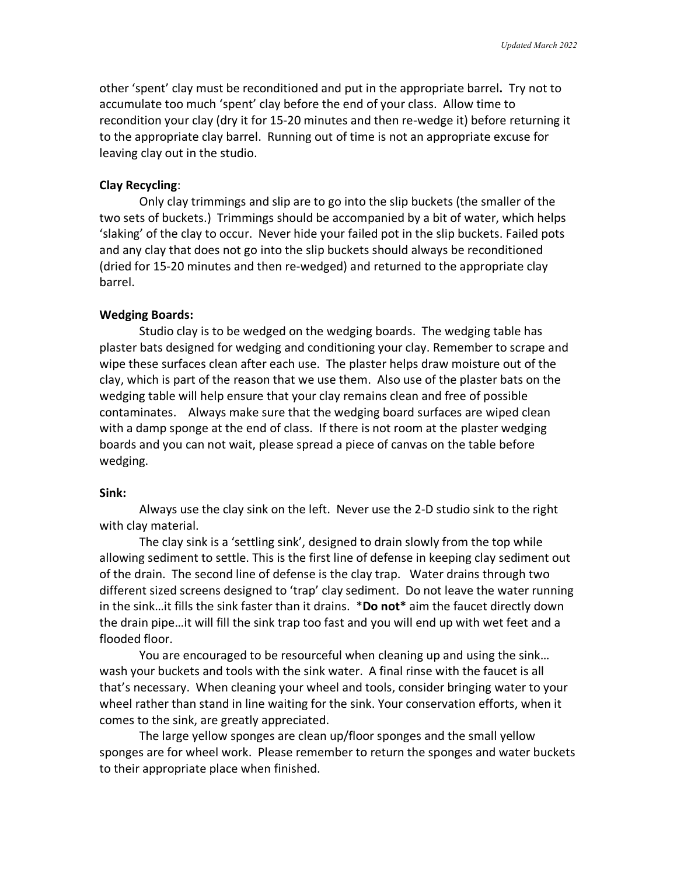other 'spent' clay must be reconditioned and put in the appropriate barrel**.** Try not to accumulate too much 'spent' clay before the end of your class. Allow time to recondition your clay (dry it for 15-20 minutes and then re-wedge it) before returning it to the appropriate clay barrel. Running out of time is not an appropriate excuse for leaving clay out in the studio.

### **Clay Recycling**:

Only clay trimmings and slip are to go into the slip buckets (the smaller of the two sets of buckets.) Trimmings should be accompanied by a bit of water, which helps 'slaking' of the clay to occur. Never hide your failed pot in the slip buckets. Failed pots and any clay that does not go into the slip buckets should always be reconditioned (dried for 15-20 minutes and then re-wedged) and returned to the appropriate clay barrel.

### **Wedging Boards:**

Studio clay is to be wedged on the wedging boards. The wedging table has plaster bats designed for wedging and conditioning your clay. Remember to scrape and wipe these surfaces clean after each use. The plaster helps draw moisture out of the clay, which is part of the reason that we use them. Also use of the plaster bats on the wedging table will help ensure that your clay remains clean and free of possible contaminates. Always make sure that the wedging board surfaces are wiped clean with a damp sponge at the end of class. If there is not room at the plaster wedging boards and you can not wait, please spread a piece of canvas on the table before wedging.

### **Sink:**

Always use the clay sink on the left. Never use the 2-D studio sink to the right with clay material.

The clay sink is a 'settling sink', designed to drain slowly from the top while allowing sediment to settle. This is the first line of defense in keeping clay sediment out of the drain. The second line of defense is the clay trap. Water drains through two different sized screens designed to 'trap' clay sediment. Do not leave the water running in the sink…it fills the sink faster than it drains. \***Do not\*** aim the faucet directly down the drain pipe…it will fill the sink trap too fast and you will end up with wet feet and a flooded floor.

You are encouraged to be resourceful when cleaning up and using the sink… wash your buckets and tools with the sink water. A final rinse with the faucet is all that's necessary. When cleaning your wheel and tools, consider bringing water to your wheel rather than stand in line waiting for the sink. Your conservation efforts, when it comes to the sink, are greatly appreciated.

The large yellow sponges are clean up/floor sponges and the small yellow sponges are for wheel work. Please remember to return the sponges and water buckets to their appropriate place when finished.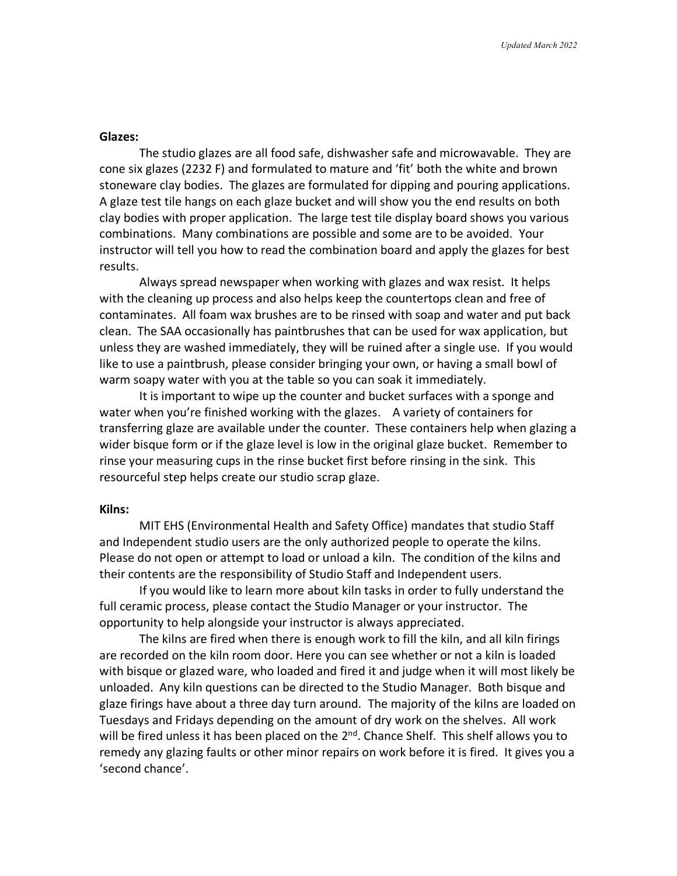### **Glazes:**

The studio glazes are all food safe, dishwasher safe and microwavable. They are cone six glazes (2232 F) and formulated to mature and 'fit' both the white and brown stoneware clay bodies. The glazes are formulated for dipping and pouring applications. A glaze test tile hangs on each glaze bucket and will show you the end results on both clay bodies with proper application. The large test tile display board shows you various combinations. Many combinations are possible and some are to be avoided. Your instructor will tell you how to read the combination board and apply the glazes for best results.

Always spread newspaper when working with glazes and wax resist. It helps with the cleaning up process and also helps keep the countertops clean and free of contaminates. All foam wax brushes are to be rinsed with soap and water and put back clean. The SAA occasionally has paintbrushes that can be used for wax application, but unless they are washed immediately, they will be ruined after a single use. If you would like to use a paintbrush, please consider bringing your own, or having a small bowl of warm soapy water with you at the table so you can soak it immediately.

It is important to wipe up the counter and bucket surfaces with a sponge and water when you're finished working with the glazes. A variety of containers for transferring glaze are available under the counter. These containers help when glazing a wider bisque form or if the glaze level is low in the original glaze bucket. Remember to rinse your measuring cups in the rinse bucket first before rinsing in the sink. This resourceful step helps create our studio scrap glaze.

#### **Kilns:**

MIT EHS (Environmental Health and Safety Office) mandates that studio Staff and Independent studio users are the only authorized people to operate the kilns. Please do not open or attempt to load or unload a kiln. The condition of the kilns and their contents are the responsibility of Studio Staff and Independent users.

If you would like to learn more about kiln tasks in order to fully understand the full ceramic process, please contact the Studio Manager or your instructor. The opportunity to help alongside your instructor is always appreciated.

The kilns are fired when there is enough work to fill the kiln, and all kiln firings are recorded on the kiln room door. Here you can see whether or not a kiln is loaded with bisque or glazed ware, who loaded and fired it and judge when it will most likely be unloaded. Any kiln questions can be directed to the Studio Manager. Both bisque and glaze firings have about a three day turn around. The majority of the kilns are loaded on Tuesdays and Fridays depending on the amount of dry work on the shelves. All work will be fired unless it has been placed on the 2<sup>nd</sup>. Chance Shelf. This shelf allows you to remedy any glazing faults or other minor repairs on work before it is fired. It gives you a 'second chance'.